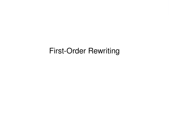# First-Order Rewriting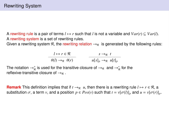A rewriting rule is a pair of terms  $l \mapsto r$  such that *l* is not a variable and  $Var(r) \subseteq Var(l)$ . A rewriting system is a set of rewriting rules.

Given a rewriting system R, the rewriting relation  $\rightarrow_R$  is generated by the following rules:

$$
\frac{l \mapsto r \in \mathcal{R}}{\theta(l) \to_{\mathcal{R}} \theta(r)} \qquad \qquad \frac{s \to_{\mathcal{R}} t}{u[s]_p \to_{\mathcal{R}} u[t]_p}
$$

The notation  $\rightarrow_{\mathcal{R}}^+$  is used for the transitive closure of  $\rightarrow_{\mathcal{R}}^-$  and  $\rightarrow_{\mathcal{R}}^*$  for the reflexive-transitive closure of  $\rightarrow_{\mathcal{R}}$ .

**Remark** This definition implies that if  $t \rightarrow R$  *u*, then there is a rewriting rule  $l \mapsto r \in R$ , a substitution  $\sigma$ , a term  $\nu$ , and a position  $p \in Pos(\nu)$  such that  $t = \nu[\sigma(l)]_p$  and  $u = \nu[\sigma(r)]_p$ .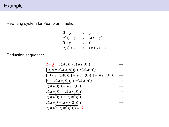# Example

Rewriting system for Peano arithmetic:

$$
0 + y \rightarrow y
$$
  
\n
$$
s(x) + y \rightarrow s(x + y)
$$
  
\n
$$
0 * y \rightarrow 0
$$
  
\n
$$
s(x) * y \rightarrow (x * y) + y
$$

Reduction sequence:

$$
\frac{2 * 3}{5} = \frac{s(s(0)) * s(s(s(0)))}{s(s(s(0)))} \rightarrow
$$

$$
[s(0) * s(s(s(0)))] + s(s(s(0))) \rightarrow
$$

$$
[[\underline{0 * s(s(s(0)))}] + s(s(s(0)))] + s(s(s(0))) \rightarrow
$$

$$
[\underline{0 + s(s(s(0)))]} + s(s(s(0))) \longrightarrow
$$

$$
s(s(s(0))) + s(s(s(0)))
$$

$$
s(s(s(0)) + s(s(s(0))))
$$

$$
s(s(s(0) + s(s(s(0)))))) \rightarrow
$$

$$
s(s(s(0+s(s(s(0)))))))
$$
  
 
$$
\rightarrow
$$
  
 
$$
s(s(s(s(s(s(0))))))) = 6
$$

$$
s(s(s(s(s(0)))))) = \underline{6}
$$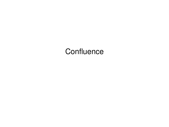# **Confluence**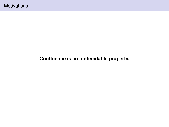# **Confluence is an undecidable property.**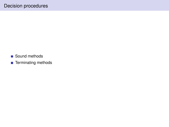- Sound methods
- Terminating methods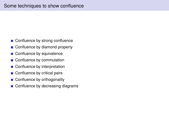- Confluence by strong confluence
- Confluence by diamond property  $\overline{\phantom{a}}$
- Confluence by equivalence  $\mathcal{L}_{\mathcal{A}}$
- Confluence by commutation
- Confluence by interpretation
- Confluence by critical pairs
- Confluence by orthogonality  $\mathcal{L}_{\mathcal{A}}$
- Confluence by decreasing diagrams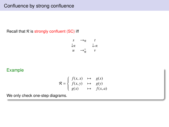# Confluence by strong confluence

Recall that  $R$  is strongly confluent (SC) iff

$$
\begin{array}{ccc}\ns & \to_{\mathcal{R}} & t \\
\downarrow_{\mathcal{R}} & & \downarrow_{\mathcal{R}} \\
u & \to_{\mathcal{R}}^= & v\n\end{array}
$$

# Example

$$
\mathcal{R} = \begin{cases} f(x, x) & \mapsto & g(x) \\ f(x, y) & \mapsto & g(y) \\ g(x) & \mapsto & f(x, a) \end{cases}
$$

We only check one-step diagrams.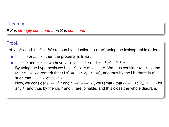If  $R$  is strongly confluent, then  $R$  is confluent.

#### Proof.

Let  $s \to n$  *t* and  $s \to m$  *u*. We reason by induction on  $\langle n, m \rangle$  using the lexicographic order.

- If  $n = 0$  or  $m = 0$ , then the property is trivial.
- If  $n > 0$  and  $m > 0$ , we have  $s \to 1$   $t' \to n^{-1} t$  and  $s \to 1$   $u' \to n^{-1} u$ .<br>By using the hypothesis we have  $t' \to n^{-1} u' \to n^{-1} u$ . By using the hypothesis we have  $t' \rightarrow^* v$  et  $u' \rightarrow^* v$ . We thus consider  $u' \rightarrow^* v$  and *u*<sup> $'$ </sup> →<sup>*m*−1</sup> *u*, we remark that  $\langle 1/0, m-1 \rangle$  < $_{lex}$   $\langle n, m \rangle$ , and thus by the i.h. there is *v*<sup> $\langle n \rangle$ </sup> at *u* →<sup>\*</sup> *v'* such that  $v \rightarrow^* v'$  et  $u \rightarrow^* v'$ . Now, we consider  $t' \rightarrow^{n-1} t$  and  $t' \rightarrow^* v \rightarrow^* v'$ , we remark that  $(n-1, k) <_{lex} (n, m)$  for any  $k$  and thus by the i.h.  $t$  and  $v'$  are iningles and this close the whole diagram any  $k$ , and thus by the i.h.  $t$  and  $v'$  are joinable, and this close the whole diagram.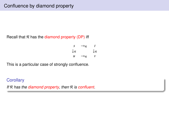Recall that  $R$  has the diamond property (DP) iff

$$
\begin{array}{ccc}\ns & \to_{\mathcal{R}} & t \\
\downarrow_{\mathcal{R}} & & \downarrow_{\mathcal{R}} \\
u & \to_{\mathcal{R}} & v\n\end{array}
$$

This is a particular case of strongly confluence.

#### **Corollary**

If  $R$  has the diamond property, then  $R$  is confluent.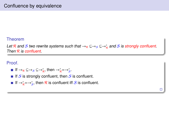Let R and S two rewrite systems such that  $\rightarrow_R \subseteq \rightarrow_S \subseteq \rightarrow_R^*$  and S is strongly confluent. Then  $R$  is confluent.

 $\Box$ 

#### Proof.

- If  $\rightarrow_{\mathcal{R}} \subseteq \rightarrow_{\mathcal{S}} \subseteq \rightarrow_{\mathcal{R}}^*$ , then  $\rightarrow_{\mathcal{R}}^* = \rightarrow_{\mathcal{S}}^*$ .
- If S is strongly confluent, then  $S$  is confluent.
- If  $\rightarrow_{\mathcal{R}}^* = \rightarrow_{\mathcal{S}}^*$ , then  $\mathcal R$  is confluent iff  $\mathcal S$  is confluent.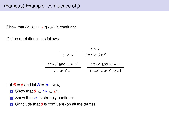# (Famous) Example: confluence of  $\beta$

Show that  $(\lambda x.t)u \mapsto_\beta t\{x\}u\}$  is confluent.

Define a relation  $\gg$  as follows:

|                           | $t \gg t'$                             |
|---------------------------|----------------------------------------|
| $x \gg x$                 | $\lambda x.t \gg \lambda x.t'$         |
| $t \gg t'$ and $u \gg u'$ | $t \gg t'$ and $u \gg u'$              |
| $t u \gg t' u'$           | $(\lambda x.t) u \gg t' \{x \mid u'\}$ |

Let  $\mathcal{R} = \beta$  and let  $\mathcal{S} = \gg$ . Now,

- **1** Show that  $\beta \subseteq \gg \subseteq \beta^*$ .
- 2 Show that  $\gg$  is strongly confluent.
- 3 Conclude that  $\beta$  is confluent (on all the terms).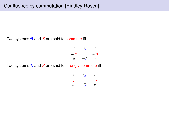Two systems  $R$  and  $S$  are said to commute iff

$$
\begin{array}{ccc}\nS & \to_{\mathcal{R}}^* & t \\
\downarrow_{*S} & & \downarrow_{*S} \\
u & \to_{\mathcal{R}}^* & v\n\end{array}
$$

Two systems  $R$  and  $S$  are said to strongly commute iff

$$
\begin{array}{ccc}\n s & \to_{\mathcal{R}} & t \\
 \downarrow_{\mathcal{S}} & & \downarrow_{* \mathcal{S}} \\
 u & \to_{\mathcal{R}}^= & v\n \end{array}
$$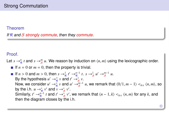If  $R$  and S strongly commute, then they commute.

#### Proof.

Let  $s \to_{\mathcal{R}}^n t$  and  $s \to_{\mathcal{S}}^m u$ . We reason by induction on  $\langle n, m \rangle$  using the lexicographic order.

- If  $n = 0$  or  $m = 0$ , then the property is trivial.
- If  $n > 0$  and  $m > 0$ , then  $s \rightarrow_R^1 t' \rightarrow_R^{n-1} t$ .  $s \rightarrow_S^1 u' \rightarrow_S^{m-1} u$ .<br>By the hypothesis  $u' \rightarrow_R^1 u \rightarrow_A^{n-1} v$ By the hypothesis  $u' \rightarrow_{\mathcal{R}}^{\equiv} v$  and  $t' \rightarrow_{\mathcal{S}}^* v$ . Now, we consider  $u' \to_{\overline{R}}^{\overline{n}} v$  and  $u' \to_{\overline{S}}^{\overline{m}-1} u$ , we remark that  $\langle 0/1, m-1 \rangle <_{lex} \langle n, m \rangle$ , so by the i.b.  $u \to^* v'$  and  $v \to^* v'$ by the i.h.  $u \rightarrow_{\mathcal{R}}^* v'$  and  $v \rightarrow_{\mathcal{S}}^* v'$ . Similarly, *t*<sup></sup> →<sup>*n*<sub></sub>-1</sub></sup> *t* and *t'* →<sup>\*</sup><sub>*s*</sub> *v'*, we remark that  $(n - 1, k) <_{lex} \langle n, m \rangle$  for any *k*, and then the diagram closes by the i.h then the diagram closes by the i.h.

 $\Box$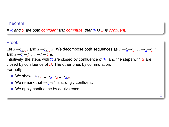If R and S are both confluent and commute, then  $R \cup S$  is confluent.

Proof.

Let  $s \to_{\mathcal{R} \cup S}^* t$  and  $s \to_{\mathcal{R} \cup S}^* u$ . We decompose both sequences as  $s \to_{\mathcal{R}}^* \to_{\mathcal{S}}^*^* \ldots \to_{\mathcal{R}}^* \to_{\mathcal{S}}^* t$ and  $s \rightarrow_R^* \rightarrow_S^* \ldots \rightarrow_R^* \rightarrow_S^* u$ .<br>Intuitively the steps with R Intuitively, the steps with R are closed by confluence of R, and the steps with S are closed by confluence of  $S$ . The other ones by commutation. Formally,

- We show  $\rightarrow_{\mathcal{R}\cup\mathcal{S}}\ \subseteq\ \rightarrow_{\mathcal{R}}^* \ \rightarrow_{\mathcal{S}}^* \subseteq \rightarrow_{\mathcal{R}\cup\mathcal{S}}^*$
- We remark that  $\rightarrow_{\mathcal{R}}^* \rightarrow_{\mathcal{S}}^*$  is strongly confluent.
- We apply confluence by equivalence.

ò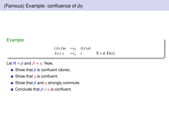# Example

 $(\lambda x.t)u \mapsto_{\beta} t\{x\}$  $\lambda x.t \quad x \quad \mapsto_n \quad t \qquad \qquad \text{If } x \notin \text{fv}(t)$ 

Let  $\mathcal{R} = \beta$  and  $\mathcal{S} = \eta$ . Now,

- Show that  $\beta$  is confluent (done).
- Show that  $\eta$  is confluent.
- Show that  $\beta$  and  $\eta$  strongly commute.
- **Conclude that**  $\beta \cup \eta$  is confluent.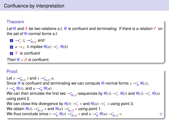Let R and S be two relations s.t. R is confluent and terminating. If there is a relation T on the set of  $R$ -normal forms s.t.

1 → $^*_{\mathcal{T}}$  ⊆ → $^*_{\mathcal{R}\cup\mathcal{S}}$  and 2 *a* →*s b* implies  $\mathcal{R}(a)$  → $^*$ <sub> $\mathcal{T}$ </sub>  $\mathcal{R}(b)$  $3 \tT$  is confluent Then  $R \cup S$  is confluent.

## Proof.

Let  $s \rightarrow_{\mathcal{R} \cup \mathcal{S}}^* t$  and  $s \rightarrow_{\mathcal{R} \cup \mathcal{S}}^* u$ . Since R is confluent and terminating we can compute R-normal forms  $s \to^*_{\mathcal{R}} \mathcal{R}(s)$ ,  $t \rightarrow_{\mathcal{R}}^* \mathcal{R}(t)$ , and  $u \rightarrow_{\mathcal{R}}^* \mathcal{R}(u)$ . We can then simulate the first two  $\to_{\R\cup S}^*$ -sequences by  $R(s)\to_{\mathcal T}^* R(t)$  and  $R(s)\to_{\mathcal T}^* R(u)$ using point 2. We can close this divergence by  $\mathcal{R}(t) \to_{\mathcal{T}}^* v$  and  $\mathcal{R}(u) \to_{\mathcal{T}}^* v$  using point 3. We obtain  $\mathcal{R}(t) \to_{\mathcal{R} \cup \mathcal{S}}^* v$  and  $\mathcal{R}(u) \to_{\mathcal{R} \cup \mathcal{S}}^* v$  using point 1. We thus conclude since  $t\to^*_{\mathcal{R}}\mathcal{R}(t)\to^*_{\mathcal{R}\cup\mathcal{S}}v$  and  $u\to^*_{\mathcal{R}}\mathcal{R}(u)\to^*_{\mathcal{R}\cup\mathcal{S}}v$ *v*.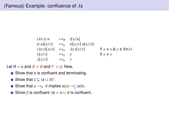$$
(\lambda x. t) u \longrightarrow_B t[x/u]
$$
  
\n
$$
(tu)[x/v] \longrightarrow_x (t[x/v] u[x/v])
$$
  
\n
$$
(\lambda y. t)[x/v] \longrightarrow_x \lambda y. t[x/v]
$$
  
\n
$$
y[x/v] \longrightarrow_x y
$$
  
\n
$$
x[x/v] \longrightarrow_x v
$$
  
\nif  $x \neq y$   $x \neq y$ 

Let  $\mathcal{R} = \mathbf{x}$  and  $\mathcal{S} = B$  and  $\mathcal{T} = \beta$ , Now,

- Show that  $x$  is confluent and terminating.
- Show that  $\beta \subseteq (\mathbf{x} \cup B)^*$ .
- Show that  $a \rightarrow_B b$  implies  $\mathbf{x}(a) \rightarrow_B^* \mathbf{x}(b)$ .
- Since  $\beta$  is confluent  $\lambda x = x \cup B$  is confluent.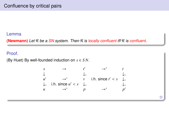#### Lemma

**(Newmann)** Let R be a SN system. Then R is locally confluent iff R is confluent.

## Proof.

(By Huet) By well-founded induction on *s* ∈ *S N*.

| $s$            | $\rightarrow$       | $t'$           | $\rightarrow^*$     | $t$            |
|----------------|---------------------|----------------|---------------------|----------------|
| $\downarrow$   | $\downarrow_*$      | $\downarrow_*$ | $\downarrow_*$      |                |
| $u'$           | $\rightarrow^*$     | $v$            | i.h. since $t' < s$ | $\downarrow_*$ |
| $\downarrow_*$ | i.h. since $u' < s$ | $\downarrow_*$ | $\downarrow_*$      |                |
| $u$            | $\rightarrow^*$     | $p$            | $\rightarrow^*$     | $p'$           |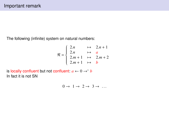The following (infinite) system on natural numbers:

$$
\mathcal{R} = \begin{cases} 2.n & \mapsto & 2.n+1 \\ 2.n & \mapsto & a \\ 2.m+1 & \mapsto & 2.m+2 \\ 2.m+1 & \mapsto & b \end{cases}
$$

is locally confluent but not confluent:  $a \leftarrow 0 \rightarrow^* b$ In fact it is not SN

$$
0 \to 1 \to 2 \to 3 \to \dots
$$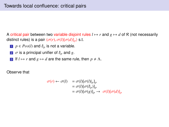A critical pair between two variable disjoint rules  $l \mapsto r$  and  $g \mapsto d$  of R (not necessarily distinct rules) is a pair  $\langle \sigma(r), \sigma(l)[\sigma(d)]_p \rangle$  s.t.

- $p \in Pos(l)$  and  $l|_p$  is not a variable.
- 2  $\sigma$  is a principal unifier of  $l_p$  and g.
- **3** If  $l \mapsto r$  and  $g \mapsto d$  are the same rule, then  $p \neq \Lambda$ .

Observe that

$$
\sigma(r) \leftarrow \sigma(l) = \sigma(l)[\sigma(l)|_p]_p
$$
  
=  $\sigma(l)[\sigma(l|_p)]_p$   
=  $\sigma(l)[\sigma(g)]_p \rightarrow \sigma(l)[\sigma(d)]_p$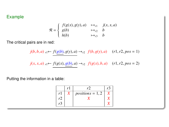### Example was a state when the control of the control of the control of the control of the control of the control of the control of the control of the control of the control of the control of the control of the control of th

$$
\mathcal{R} = \begin{cases} f(g(x), g(y), a) & \mapsto_{r1} & j(x, x, a) \\ g(b) & \mapsto_{r2} & b \\ h(b) & \mapsto_{r3} & b \end{cases}
$$

The critical pairs are in red:

$$
j(b, b, a)_{r1} \leftarrow f(g(b), g(y), a) \rightarrow_{r2} f(b, g(y), a) \quad (r1, r2, pos = 1)
$$
  

$$
j(x, x, a)_{r1} \leftarrow f(g(x), g(b), a) \rightarrow_{r2} f(g(x), b, a) \quad (r1, r2, pos = 2)
$$

Putting the information in a table:

|    | rl | r2                 |  |
|----|----|--------------------|--|
| r1 |    | $positions = 1, 2$ |  |
| r2 |    |                    |  |
| r3 |    |                    |  |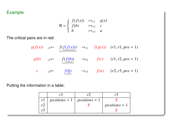## Example

$$
\mathcal{R} = \begin{cases} f(f(x)) & \mapsto_{r1} & g(x) \\ f(b) & \mapsto_{r2} & c \\ b & \mapsto_{r3} & a \end{cases}
$$

The critical pairs are in red:

$$
g(f(x))_{r1} \leftarrow f(f(f(x))) \rightarrow_{r1} f(g(x)) \quad (r1, r1, pos = 1)
$$
  

$$
g(b)_{r1} \leftarrow f(f(b)) \rightarrow_{r2} f(c) \quad (r1, r2, pos = 1)
$$
  

$$
c \rightarrow_{r2} f(b) \rightarrow_{r3} f(a) \quad (r2, r3, pos = 1)
$$

Putting the information in a table:

| r1 | $positions = 1   positions = 1$ |                 |
|----|---------------------------------|-----------------|
|    |                                 | $positions = 1$ |
|    |                                 |                 |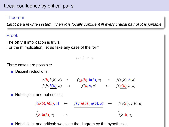Let  $R$  be a rewrite system. Then  $R$  is locally confluent iff every critical pair of  $R$  is joinable.

# Proof.

The **only if** implication is trivial. For the **if** implication, let us take any case of the form

 $v \leftarrow t \rightarrow u$ 

Three cases are possible:

Disjoint reductions:

$$
f(b, h(b), a) \leftarrow f(g(b), h(b), a) \rightarrow f(g(b), b, a)
$$
  

$$
f(b, \underline{h(b)}, a) \rightarrow f(b, \overline{b}, a) \leftarrow f(g(b), b, a)
$$

Not disjoint and not critical:  $\mathcal{L}_{\mathcal{A}}$ 

$$
\begin{array}{ccc}\nj(h(b), h(b), a) & \leftarrow & f(g(h(b)), g(b), a) & \rightarrow & f(g(b), g(b), a) \\
\downarrow & & & \downarrow & & \downarrow \\
j(b, h(b), a) & \rightarrow & & j(b, b, a)\n\end{array}
$$

 $\blacksquare$  Not disjoint and critical: we close the diagram by the hypothesis.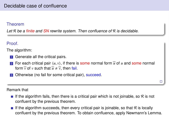Let  $R$  be a finite and SN rewrite system. Then confluence of  $R$  is decidable.

### Proof.

The algorithm:

- **1** Generate all the critical pairs.
- 2 For each critical pair  $\langle u, v \rangle$ , if there is some normal form  $\hat{u}$  of *u* and some normal form  $\widehat{v}$  of *v* such that  $\widehat{u} \neq \widehat{v}$ , then fail.
- 3 Otherwise (no fail for some critical pair), succeed.

#### Remark that

- If the algorithm fails, then there is a critical pair which is not joinable, so  $\mathcal R$  is not confluent by the previous theorem.
- If the algorithm succeeds, then every critical pair is joinable, so that  $R$  is locally confluent by the previous theorem. To obtain confluence, apply Newmann's Lemma.

 $\Box$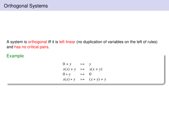A system is orthogonal iff it is left linear (no duplication of variables on the left of rules) and has no critical pairs.

Example

$$
0 + y \rightarrow y
$$
  
\n
$$
s(x) + y \rightarrow s(x + y)
$$
  
\n
$$
0 * y \rightarrow 0
$$
  
\n
$$
s(x) * y \rightarrow (x * y) + y
$$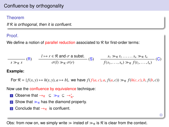# Confluence by orthogonality

#### Theorem

If  $R$  is orthogonal, then it is confluent.

#### **Proof**

We define a notion of parallel reduction associated to  $R$  for first-order terms:

$$
\frac{l \mapsto r \in \mathcal{R} \text{ and } \sigma \text{ a subset.}}{\sigma(l) \gg_{\mathcal{R}} \sigma(r)} \quad (S) \quad \frac{s_1 \gg_{\mathcal{R}} t_1 \dots \dots s_n \gg_{\mathcal{R}} t_n}{f(s_1, \dots, s_n) \gg_{\mathcal{R}} f(t_1, \dots, t_n)} \quad (C)
$$

#### **Example:**

For  $\mathcal{R} = \{f(x, y) \mapsto h(y, y), a \mapsto b\}$ , we have  $f(f(a, c), a, f(a, c)) \gg_{\mathcal{R}} f(h(c, c), b, f(b, c))$ 

 $\Box$ 

Now use the confluence by equivalence technique:

- **1** Observe that  $\rightarrow_R \subseteq \gg_R \subseteq \rightarrow_R^*$ .
- 2 Show that  $\gg_R$  has the diamond property.
- **3** Conclude that  $\rightarrow_R$  is confluent.

Obs: from now on, we simply write  $\gg$  insted of  $\gg_{\mathcal{R}}$  is R is clear from the context.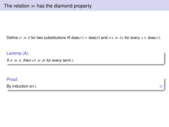Define  $\sigma \gg \delta$  for two substitutions iff dom( $\sigma$ ) = dom( $\delta$ ) and  $\sigma x \gg \delta x$  for every  $x \in \text{dom}(\sigma)$ .

Lemma (A) If  $\sigma \gg \delta$ , then  $\sigma t \gg \delta t$  for every term *t*.

Proof.

By induction on *t*.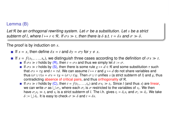#### Lemma (B)

Let R be an orthogonal rewriting system. Let  $\sigma$  be a substitution. Let s be a strict subterm of *l*, where  $l \mapsto r \in \mathcal{R}$ . If  $\sigma s \gg t$ , then there is  $\delta$  s.t.  $t = \delta s$  and  $\sigma \gg \delta$ .

The proof is by induction on *s*.

- If  $s = x$ , then define  $\delta x = t$  and  $\delta y = \sigma y$  for  $y \neq x$ .
- If  $s = f(s_1, \ldots, s_n)$ , we distinguish three cases according to the definition of  $\sigma s \gg t$ . If  $\sigma s \gg t$  holds by (R), then  $t = \sigma s$  and thus we simply let  $\delta := \sigma$ .
	- If  $\sigma s \gg t$  holds by (S), then there is some rule  $g \mapsto d \in \mathcal{R}$  and some substitution  $\tau$  such that  $\sigma s = \tau g$  and  $t = \tau d$ . We can assume  $l \mapsto r$  and  $g \mapsto d$  do not share variables and thus  $(\sigma \cup \tau)s = \sigma s = \tau g = (\sigma \cup \tau)g$ . Then  $\sigma \cup \tau$  unifies *s* (a strict subterm of *l*) and *g*, thus contradicting absence of critical pairs, and thus orthogonality of R.
	- If  $\sigma s \gg t$  holds by (C), then  $t = f(t_1, \ldots, t_n)$  and  $\sigma s_i \gg t_i$ . Since *l* (and thus *s*) are linear, we can write  $\sigma$  as  $\vdash \sigma$ ; where each  $\sigma$ ; is  $\sigma$  restricted to the variables of *s*. We then we can write  $\sigma$  as  $\bigcup \sigma_i$ , where each  $\sigma_i$  is  $\sigma$  restricted to the variables of  $s_i$ . We then have  $\sigma_i s_i \gg t_i$  and  $s_i$  is a strict subterm of *l*. The i h, gives  $t_i = \delta_i s_i$  and  $\sigma_i \gg \delta_i$ . We *N*e can write *σ* as ∪ *σ<sub>i</sub>*, where each *σ<sub>i</sub>* is *σ* restricted to the variables of *s<sub>i</sub>*. We then<br>have *σ<sub>i</sub>*  $\gamma$  *s b*<sub>i</sub> and *s*<sub>i</sub> is a strict subterm of *l*. The i.h. gives *t<sub>i</sub>* = δ<sub>*i*</sub>s<sub>i</sub> and *σ<sub>i</sub>*  $\$  $\delta := \bigcup \delta_i$ . It is easy to check  $\sigma \gg \delta$  and  $t = \delta s$ .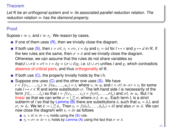Let R be an orthogonal system and  $\gg$  its associated parallel reduction relation. The reduction relation  $\gg$  has the diamond property.

## Proof.

Supose  $t \gg t_1$  and  $t \gg t_2$ . We reason by cases.

- If one of them uses  $(R)$ , then we trivially close the diagram.
- If both use (S), then  $t = \sigma l$ ,  $t_1 = \sigma r$ ,  $t = \delta g$  and  $t_2 = \delta d$  for  $l \mapsto r$  and  $g \mapsto d$  in R. If the two rules are the same, then  $\sigma = \delta$  and we trivially close the diagram. Otherwise, we can assume that the rules do not share variables so that( $\delta \cup \sigma$ )*l* =  $\sigma$ *l* =  $t = \delta g = (\sigma \cup \delta)g$ , *i.e.* ( $\delta \cup \sigma$ ) unifies *l* and *g*, which contradicts absence of critical pairs, and thus orthogonality of R.
- If both use  $(C)$ , the property trivially holds by the i.h.
- Suppose one uses (C) and the other one uses (S). We have<br>  $t = f(v_1, \ldots, v_n) \gg f(u_1, \ldots, u_n) = t_1$  where  $v_i \gg u_i$  and  $t = \sigma l \gg \sigma r = t_2$  for some  $t = f(v_1, \ldots, v_n) \gg f(u_1, \ldots, u_n) = t_1$  where  $v_i \gg u_i$  and  $t = \sigma l \gg \sigma r = t_2$  for some rule  $l \mapsto r \in \mathcal{R}$  and some substitution  $\sigma$ . The left-hand side *l* is necessarily of the rule  $l \mapsto r \in \mathcal{R}$  and some substitution  $\sigma$ . The left-hand side *l* is necessarily of the form  $f(l_1, \ldots, l_n)$  so that  $t = f(v_1, \ldots, v_n) = f(\sigma l_1, \ldots, \sigma l_n)$  and  $\sigma l_i \gg u_i$ . But *l* is form  $f(l_1, \ldots, l_n)$  so that  $t = f(v_1, \ldots, v_n) = f(\sigma l_1, \ldots, \sigma l_n)$  and  $\sigma l_i \gg u_i$ . But *l* is a strict linear so that we can write  $\sigma = |l|$ ,  $\sigma$ , where  $\sigma$ ,  $l_i \gg u_i$ . Each term *l<sub>i</sub>* is a strict l<mark>inear</mark> so that we can write  $\sigma = \bigcup_{i=1}^{n} \sigma_i$  where  $\sigma_i l_i \gg u_i$ . Each term  $l_i$  is a strict subterm of *l* so that by Lemma (B) there are substitutions  $\delta_i$  such that  $u_i = \delta_i l_i$  and  $\bigcup_{i=1}^{n} \sigma_i$  where  $\sigma_i l_i \gg u_i$ . Each term  $l_i$  is a strict subterm of *l* so that by Lemma (B) there are substitutions  $\delta_i$  such that  $u_i = \delta_i$ <br> $\sigma_i \gg \delta_i$ . We let  $\delta := \int_{i}^{n} \delta_i$ . Then  $t_1 = f(\delta_i l_1, \ldots, \delta_n l_n) = \delta l$  and also  $\sigma \gg \delta$ . W  $\sigma_i \gg \delta_i$ . We let  $\delta := \bigcup_{l=1}^n \delta_i$ . Then  $t_1 = f(\delta_1 l_1, \ldots, \delta_n l_n) = \delta l$  and also  $\sigma \gg \delta$ . We can now close the diagram with  $t_3 = \delta r$  as follows  $\sigma_i \gg \delta_i$ . We let  $\delta := \bigcup_{1}^{n} \delta_i$ . Then  $t_1 = f(\delta_1 l_1)$ , now close the diagram with  $t_3 = \delta r$  as follows
	- $t_1 = \delta l \gg \delta r = t_3$  holds using the (S) rule.
	- $\mathbf{r}_1 = \sigma r \gg \delta r = t_3$  holds by Lemma (A) using the fact that  $\sigma \gg \delta$ .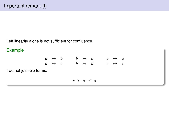Left linearity alone is not sufficient for confluence.

# Example

| $a \mapsto b$     |  | $b \rightarrow a$ |  | $c \rightarrow a$ |  |
|-------------------|--|-------------------|--|-------------------|--|
| $a \rightarrow c$ |  | $b \mapsto d$     |  | $c \rightarrow e$ |  |

Two not joinable terms:

$$
e\ ^*\!\!\leftarrow a\rightarrow^* \ d
$$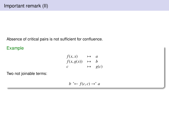Absence of critical pairs is not sufficient for confluence.

Example

$$
f(x, x) \rightarrow a
$$
  
\n
$$
f(x, g(x)) \rightarrow b
$$
  
\n
$$
c \rightarrow g(c)
$$

Two not joinable terms:

*b*  $*$  ←  $f(c, c)$  →  $*$  *a*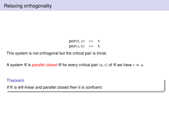$por(t, x) \rightarrow t$  $por(x, t) \rightarrow t$ 

This system is not orthogonal but the critical pair is trivial.

A system R is parallel closed iff for every critical pair  $\langle u, v \rangle$  of R we have  $v \gg u$ .

#### Theorem

If  $R$  is left-linear and parallel closed then it is confluent.